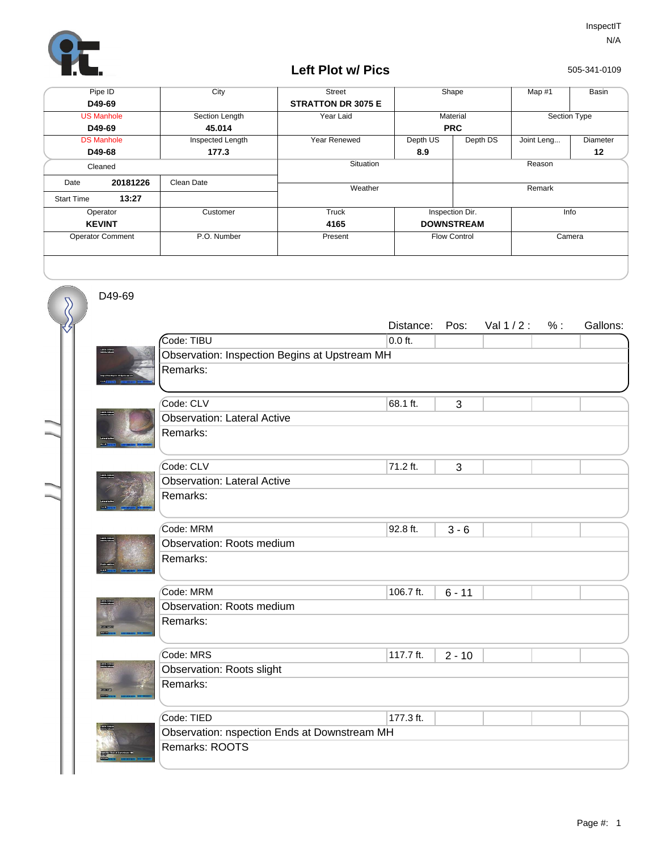

## **Left Plot w/ Pics**

505-341-0109

| Pipe ID                 |          | City             | <b>Street</b>             |            | Shape<br>Map $#1$   |              | Basin    |
|-------------------------|----------|------------------|---------------------------|------------|---------------------|--------------|----------|
| D49-69                  |          |                  | <b>STRATTON DR 3075 E</b> |            |                     |              |          |
| <b>US Manhole</b>       |          | Section Length   | Year Laid                 | Material   |                     | Section Type |          |
| D49-69                  |          | 45.014           |                           | <b>PRC</b> |                     |              |          |
| <b>DS Manhole</b>       |          | Inspected Length | Year Renewed              | Depth US   | Depth DS            | Joint Leng   | Diameter |
| D49-68                  |          | 177.3            |                           | 8.9        |                     |              | $12 \,$  |
| Cleaned                 |          |                  | Situation                 | Reason     |                     |              |          |
| Date                    | 20181226 | Clean Date       | Weather                   |            |                     | Remark       |          |
| <b>Start Time</b>       | 13:27    |                  |                           |            |                     |              |          |
| Operator                |          | Customer         | Truck                     |            | Inspection Dir.     | Info         |          |
| <b>KEVINT</b>           |          |                  | 4165                      |            | <b>DOWNSTREAM</b>   |              |          |
| <b>Operator Comment</b> |          | P.O. Number      | Present                   |            | <b>Flow Control</b> |              | Camera   |
|                         |          |                  |                           |            |                     |              |          |

D49-69

 $\overline{\mathcal{S}}$ 

|                                       |                                               | Distance: | Pos:     | Val 1/2: | % : | Gallons: |  |  |  |
|---------------------------------------|-----------------------------------------------|-----------|----------|----------|-----|----------|--|--|--|
|                                       | Code: TIBU                                    | $0.0$ ft. |          |          |     |          |  |  |  |
| $\frac{1000 + 0.0043}{16006 - 34342}$ | Observation: Inspection Begins at Upstream MH |           |          |          |     |          |  |  |  |
|                                       | Remarks:                                      |           |          |          |     |          |  |  |  |
|                                       |                                               |           |          |          |     |          |  |  |  |
|                                       | Code: CLV                                     | 68.1 ft.  | 3        |          |     |          |  |  |  |
| <b>MARINE 1949</b>                    | <b>Observation: Lateral Active</b>            |           |          |          |     |          |  |  |  |
|                                       | Remarks:                                      |           |          |          |     |          |  |  |  |
|                                       | Code: CLV                                     | 71.2 ft.  | 3        |          |     |          |  |  |  |
|                                       | <b>Observation: Lateral Active</b>            |           |          |          |     |          |  |  |  |
|                                       | Remarks:                                      |           |          |          |     |          |  |  |  |
|                                       |                                               |           |          |          |     |          |  |  |  |
|                                       | Code: MRM                                     | 92.8 ft.  | $3 - 6$  |          |     |          |  |  |  |
|                                       | Observation: Roots medium                     |           |          |          |     |          |  |  |  |
|                                       | Remarks:                                      |           |          |          |     |          |  |  |  |
|                                       |                                               |           |          |          |     |          |  |  |  |
|                                       | Code: MRM                                     | 106.7 ft. | $6 - 11$ |          |     |          |  |  |  |
| 1941-194949<br>Militar 34549          | Observation: Roots medium                     |           |          |          |     |          |  |  |  |
|                                       | Remarks:                                      |           |          |          |     |          |  |  |  |
|                                       |                                               |           |          |          |     |          |  |  |  |
|                                       | Code: MRS                                     | 117.7 ft. | $2 - 10$ |          |     |          |  |  |  |
| <b>Reading</b>                        | <b>Observation: Roots slight</b>              |           |          |          |     |          |  |  |  |
| <b>CONTECCION</b>                     | Remarks:                                      |           |          |          |     |          |  |  |  |
|                                       |                                               |           |          |          |     |          |  |  |  |
|                                       | Code: TIED                                    | 177.3 ft. |          |          |     |          |  |  |  |
|                                       | Observation: nspection Ends at Downstream MH  |           |          |          |     |          |  |  |  |
|                                       | Remarks: ROOTS                                |           |          |          |     |          |  |  |  |
|                                       |                                               |           |          |          |     |          |  |  |  |
|                                       |                                               |           |          |          |     |          |  |  |  |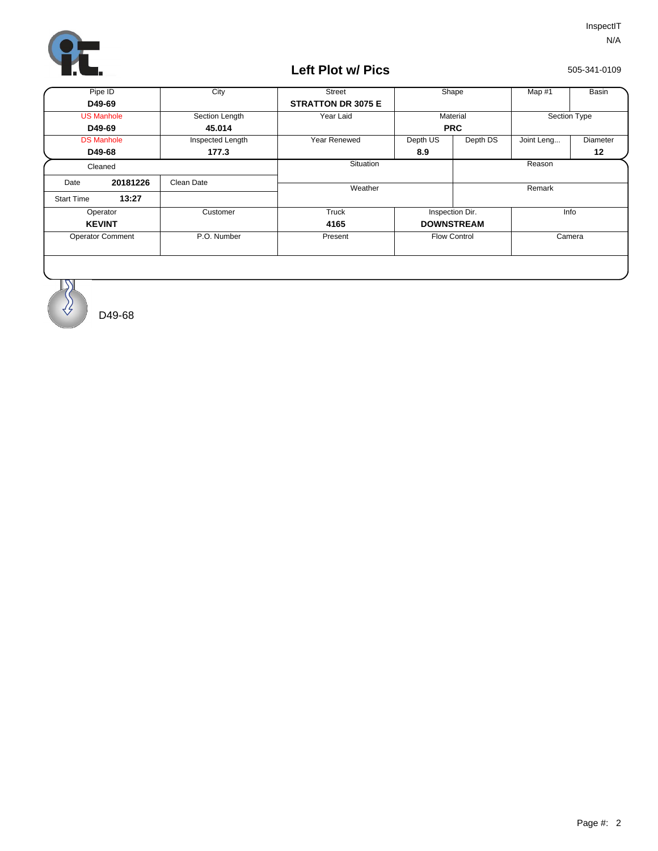

## **Left Plot w/ Pics**

505-341-0109

| Pipe ID                 |          | City             | <b>Street</b>             |            | Shape<br>Map #1     |              | Basin    |
|-------------------------|----------|------------------|---------------------------|------------|---------------------|--------------|----------|
| D49-69                  |          |                  | <b>STRATTON DR 3075 E</b> |            |                     |              |          |
| <b>US Manhole</b>       |          | Section Length   | Year Laid                 | Material   |                     | Section Type |          |
| D49-69                  |          | 45.014           |                           | <b>PRC</b> |                     |              |          |
| <b>DS Manhole</b>       |          | Inspected Length | Year Renewed              | Depth US   | Depth DS            | Joint Leng   | Diameter |
| D49-68                  |          | 177.3            |                           | 8.9        |                     |              | 12       |
| Cleaned                 |          |                  | <b>Situation</b>          |            |                     | Reason       |          |
| Date                    | 20181226 | Clean Date       | Weather                   |            |                     | Remark       |          |
| <b>Start Time</b>       | 13:27    |                  |                           |            |                     |              |          |
| Operator                |          | Customer         | Truck                     |            | Inspection Dir.     | Info         |          |
| <b>KEVINT</b>           |          |                  | 4165                      |            | <b>DOWNSTREAM</b>   |              |          |
| <b>Operator Comment</b> |          | P.O. Number      | Present                   |            | <b>Flow Control</b> | Camera       |          |
|                         |          |                  |                           |            |                     |              |          |



 $\ket{\sqrt{2}}$ 

D49-68